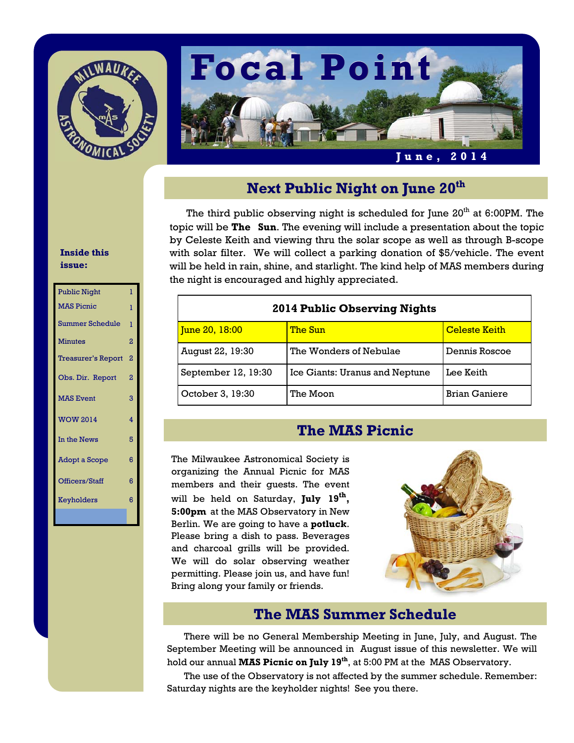



# **Next Public Night on June 20th**

The third public observing night is scheduled for June 20<sup>th</sup> at 6:00PM. The topic will be **The Sun**. The evening will include a presentation about the topic by Celeste Keith and viewing thru the solar scope as well as through B-scope with solar filter. We will collect a parking donation of \$5/vehicle. The event will be held in rain, shine, and starlight. The kind help of MAS members during the night is encouraged and highly appreciated.

| <b>2014 Public Observing Nights</b> |                                |                      |  |
|-------------------------------------|--------------------------------|----------------------|--|
| <u> June 20, 18:00</u>              | The Sun                        | <b>Celeste Keith</b> |  |
| August 22, 19:30                    | The Wonders of Nebulae         | Dennis Roscoe        |  |
| September 12, 19:30                 | Ice Giants: Uranus and Neptune | Lee Keith            |  |
| October 3, 19:30                    | The Moon                       | <b>Brian Ganiere</b> |  |

## **The MAS Picnic**

The Milwaukee Astronomical Society is organizing the Annual Picnic for MAS members and their guests. The event will be held on Saturday, **July 19<sup>th</sup>**, **5:00pm** at the MAS Observatory in New Berlin. We are going to have a **potluck**. Please bring a dish to pass. Beverages and charcoal grills will be provided. We will do solar observing weather permitting. Please join us, and have fun! Bring along your family or friends.



# **The MAS Summer Schedule**

 There will be no General Membership Meeting in June, July, and August. The September Meeting will be announced in August issue of this newsletter. We will hold our annual **MAS Picnic on July 19<sup>th</sup>**, at 5:00 PM at the MAS Observatory.

 The use of the Observatory is not affected by the summer schedule. Remember: Saturday nights are the keyholder nights! See you there.

#### **Inside this issue:**

| <b>Public Night</b>       | T              |
|---------------------------|----------------|
| <b>MAS Picnic</b>         | ı              |
| <b>Summer Schedule</b>    | T              |
| <b>Minutes</b>            | $\overline{2}$ |
| <b>Treasurer's Report</b> | $\overline{2}$ |
| Obs. Dir. Report          | $\overline{2}$ |
| <b>MAS Event</b>          | 3              |
| <b>WOW 2014</b>           | 4              |
| In the News               | 5              |
| <b>Adopt a Scope</b>      | 6              |
| Officers/Staff            | 6              |
| Keyholders                | 6              |
|                           |                |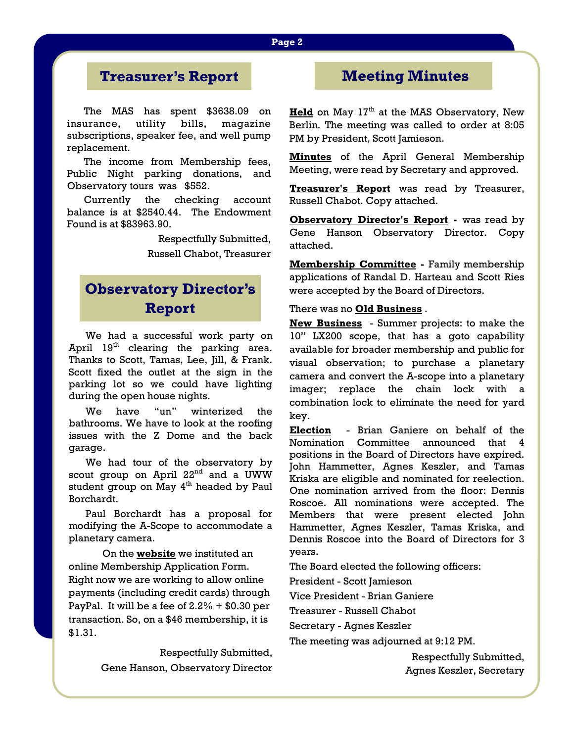### **Page 2**

# **Treasurer's Report**

The MAS has spent \$3638.09 on insurance, utility bills, magazine subscriptions, speaker fee, and well pump replacement.

 The income from Membership fees, Public Night parking donations, and Observatory tours was \$552.

 Currently the checking account balance is at \$2540.44. The Endowment Found is at \$83963.90.

> Respectfully Submitted, Russell Chabot, Treasurer

# **Observatory Director's Report**

 We had a successful work party on April 19<sup>th</sup> clearing the parking area. Thanks to Scott, Tamas, Lee, Jill, & Frank. Scott fixed the outlet at the sign in the parking lot so we could have lighting during the open house nights.

 We have "un" winterized the bathrooms. We have to look at the roofing issues with the Z Dome and the back garage.

 We had tour of the observatory by scout group on April 22<sup>nd</sup> and a UWW student group on May 4<sup>th</sup> headed by Paul Borchardt.

 Paul Borchardt has a proposal for modifying the A-Scope to accommodate a planetary camera.

 On the **website** we instituted an online Membership Application Form. Right now we are working to allow online payments (including credit cards) through PayPal. It will be a fee of  $2.2% + $0.30$  per transaction. So, on a \$46 membership, it is \$1.31.

> Respectfully Submitted, Gene Hanson, Observatory Director

# **Meeting Minutes**

**Held** on May  $17<sup>th</sup>$  at the MAS Observatory, New Berlin. The meeting was called to order at 8:05 PM by President, Scott Jamieson.

**Minutes** of the April General Membership Meeting, were read by Secretary and approved.

**Treasurer's Report** was read by Treasurer, Russell Chabot. Copy attached.

**Observatory Director's Report -** was read by Gene Hanson Observatory Director. Copy attached.

**Membership Committee -** Family membership applications of Randal D. Harteau and Scott Ries were accepted by the Board of Directors.

#### There was no **Old Business** .

**New Business** - Summer projects: to make the 10" LX200 scope, that has a goto capability available for broader membership and public for visual observation; to purchase a planetary camera and convert the A-scope into a planetary imager; replace the chain lock with a combination lock to eliminate the need for yard key.

**Election** - Brian Ganiere on behalf of the Nomination Committee announced that 4 positions in the Board of Directors have expired. John Hammetter, Agnes Keszler, and Tamas Kriska are eligible and nominated for reelection. One nomination arrived from the floor: Dennis Roscoe. All nominations were accepted. The Members that were present elected John Hammetter, Agnes Keszler, Tamas Kriska, and Dennis Roscoe into the Board of Directors for 3 years.

The Board elected the following officers:

President - Scott Jamieson

Vice President - Brian Ganiere

Treasurer - Russell Chabot

Secretary - Agnes Keszler

The meeting was adjourned at 9:12 PM.

Respectfully Submitted, Agnes Keszler, Secretary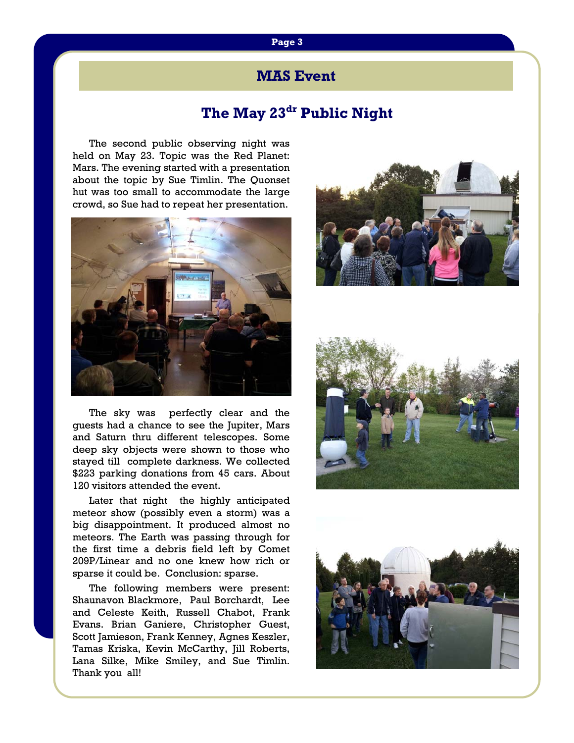## **MAS Event**

# **The May 23dr Public Night**

The second public observing night was held on May 23. Topic was the Red Planet: Mars. The evening started with a presentation about the topic by Sue Timlin. The Quonset hut was too small to accommodate the large crowd, so Sue had to repeat her presentation.



 The sky was perfectly clear and the guests had a chance to see the Jupiter, Mars and Saturn thru different telescopes. Some deep sky objects were shown to those who stayed till complete darkness. We collected \$223 parking donations from 45 cars. About 120 visitors attended the event.

 Later that night the highly anticipated meteor show (possibly even a storm) was a big disappointment. It produced almost no meteors. The Earth was passing through for the first time a debris field left by Comet 209P/Linear and no one knew how rich or sparse it could be. Conclusion: sparse.

 The following members were present: Shaunavon Blackmore, Paul Borchardt, Lee and Celeste Keith, Russell Chabot, Frank Evans. Brian Ganiere, Christopher Guest, Scott Jamieson, Frank Kenney, Agnes Keszler, Tamas Kriska, Kevin McCarthy, Jill Roberts, Lana Silke, Mike Smiley, and Sue Timlin. Thank you all!





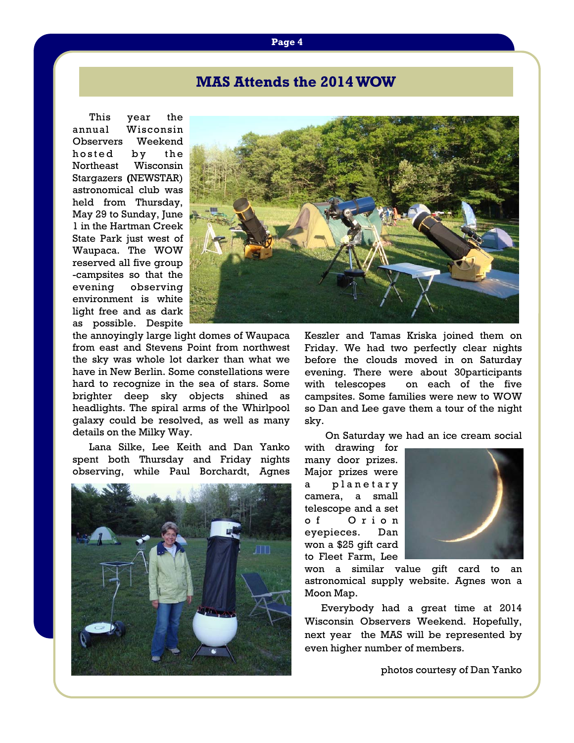## **MAS Attends the 2014 WOW**

This year the annual Wisconsin Observers Weekend hosted by the Northeast Wisconsin Stargazers **(**NEWSTAR) astronomical club was held from Thursday, May 29 to Sunday, June 1 in the Hartman Creek State Park just west of Waupaca. The WOW reserved all five group -campsites so that the evening observing environment is white light free and as dark as possible. Despite



the annoyingly large light domes of Waupaca from east and Stevens Point from northwest the sky was whole lot darker than what we have in New Berlin. Some constellations were hard to recognize in the sea of stars. Some brighter deep sky objects shined as headlights. The spiral arms of the Whirlpool galaxy could be resolved, as well as many details on the Milky Way.

 Lana Silke, Lee Keith and Dan Yanko spent both Thursday and Friday nights observing, while Paul Borchardt, Agnes



Keszler and Tamas Kriska joined them on Friday. We had two perfectly clear nights before the clouds moved in on Saturday evening. There were about 30participants with telescopes on each of the five campsites. Some families were new to WOW so Dan and Lee gave them a tour of the night sky.

On Saturday we had an ice cream social

with drawing for many door prizes. Major prizes were planetary camera, a small telescope and a set o f O r i o n eyepieces. Dan won a \$25 gift card to Fleet Farm, Lee



won a similar value gift card to an astronomical supply website. Agnes won a Moon Map.

 Everybody had a great time at 2014 Wisconsin Observers Weekend. Hopefully, next year the MAS will be represented by even higher number of members.

photos courtesy of Dan Yanko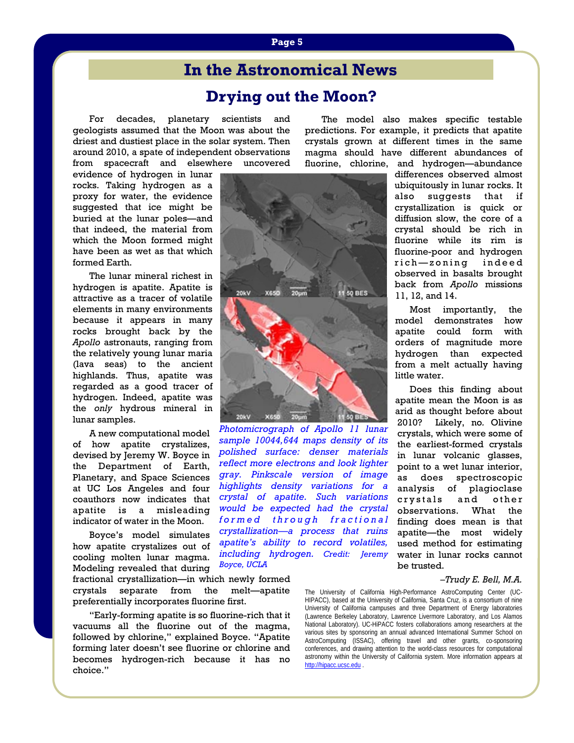# **In the Astronomical News**

## **Drying out the Moon?**

 For decades, planetary scientists and geologists assumed that the Moon was about the driest and dustiest place in the solar system. Then around 2010, a spate of independent observations from spacecraft and elsewhere uncovered

evidence of hydrogen in lunar rocks. Taking hydrogen as a proxy for water, the evidence suggested that ice might be buried at the lunar poles—and that indeed, the material from which the Moon formed might have been as wet as that which formed Earth.

 The lunar mineral richest in hydrogen is apatite. Apatite is attractive as a tracer of volatile elements in many environments because it appears in many rocks brought back by the *Apollo* astronauts, ranging from the relatively young lunar maria (lava seas) to the ancient highlands. Thus, apatite was regarded as a good tracer of hydrogen. Indeed, apatite was the *only* hydrous mineral in lunar samples.

 A new computational model of how apatite crystalizes, devised by Jeremy W. Boyce in the Department of Earth, Planetary, and Space Sciences at UC Los Angeles and four coauthors now indicates that apatite is a misleading indicator of water in the Moon.

 Boyce's model simulates how apatite crystalizes out of cooling molten lunar magma. Modeling revealed that during

fractional crystallization—in which newly formed crystals separate from the melt—apatite preferentially incorporates fluorine first.

*Boyce, UCLA*

 "Early-forming apatite is so fluorine-rich that it vacuums all the fluorine out of the magma, followed by chlorine," explained Boyce. "Apatite forming later doesn't see fluorine or chlorine and becomes hydrogen-rich because it has no choice."

 The model also makes specific testable predictions. For example, it predicts that apatite crystals grown at different times in the same magma should have different abundances of fluorine, chlorine, and hydrogen—abundance

> differences observed almost ubiquitously in lunar rocks. It also suggests that if crystallization is quick or diffusion slow, the core of a crystal should be rich in fluorine while its rim is fluorine-poor and hydrogen rich-zoning indeed observed in basalts brought back from *Apollo* missions 11, 12, and 14.

 Most importantly, the model demonstrates how apatite could form with orders of magnitude more hydrogen than expected from a melt actually having little water.

 Does this finding about apatite mean the Moon is as arid as thought before about 2010? Likely, no*.* Olivine crystals, which were some of the earliest-formed crystals in lunar volcanic glasses, point to a wet lunar interior, as does spectroscopic analysis of plagioclase crystals and other observations. What the finding does mean is that apatite—the most widely used method for estimating water in lunar rocks cannot be trusted.

#### *–Trudy E. Bell, M.A.*

The University of California High-Performance AstroComputing Center (UC-HIPACC), based at the University of California, Santa Cruz, is a consortium of nine University of California campuses and three Department of Energy laboratories (Lawrence Berkeley Laboratory, Lawrence Livermore Laboratory, and Los Alamos National Laboratory). UC-HiPACC fosters collaborations among researchers at the various sites by sponsoring an annual advanced International Summer School on AstroComputing (ISSAC), offering travel and other grants, co-sponsoring conferences, and drawing attention to the world-class resources for computational astronomy within the University of California system. More information appears at http://hipacc.ucsc.edu .

**Page 5** 



*Photomicrograph of Apollo 11 lunar sample 10044,644 maps density of its polished surface: denser materials reflect more electrons and look lighter gray. Pinkscale version of image highlights density variations for a crystal of apatite. Such variations would be expected had the crystal*  formed through fractional *crystallization—a process that ruins apatite's ability to record volatiles, including hydrogen. Credit: Jeremy*